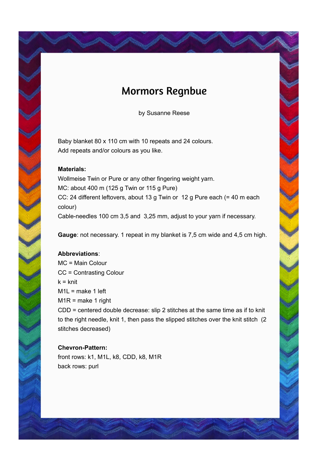# Mormors Regnbue

by Susanne Reese

Baby blanket 80 x 110 cm with 10 repeats and 24 colours. Add repeats and/or colours as you like.

### **Materials:**

Wollmeise Twin or Pure or any other fingering weight yarn. MC: about 400 m (125 g Twin or 115 g Pure) CC: 24 different leftovers, about 13 g Twin or 12 g Pure each (= 40 m each colour) Cable-needles 100 cm 3,5 and 3,25 mm, adjust to your yarn if necessary.

**Gauge**: not necessary. 1 repeat in my blanket is 7,5 cm wide and 4,5 cm high.

# **Abbreviations**:

MC = Main Colour CC = Contrasting Colour  $k = k$ nit M1L = make 1 left  $M1R$  = make 1 right CDD = centered double decrease: slip 2 stitches at the same time as if to knit to the right needle, knit 1, then pass the slipped stitches over the knit stitch (2 stitches decreased)

#### **Chevron-Pattern:**

front rows: k1, M1L, k8, CDD, k8, M1R back rows: purl